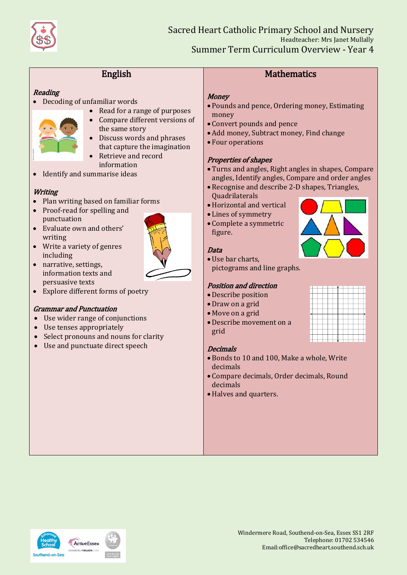

# English

## **Reading**

- Decoding of unfamiliar words
	- Read for a range of purposes Compare different versions of
	- the same story • Discuss words and phrases
	- that capture the imagination
	- Retrieve and record information
- Identify and summarise ideas

#### **Writing**

- Plan writing based on familiar forms
- Proof-read for spelling and punctuation
- Evaluate own and others' writing
- Write a variety of genres including
- 
- narrative, settings, information texts and persuasive texts
- Explore different forms of poetry

#### Grammar and Punctuation

- Use wider range of conjunctions
- Use tenses appropriately
- Select pronouns and nouns for clarity
- Use and punctuate direct speech

# **Mathematics**

#### **Money**

- Pounds and pence, Ordering money, Estimating money
- Convert pounds and pence
- Add money, Subtract money, Find change
- Four operations

#### Properties of shapes

- Turns and angles, Right angles in shapes, Compare angles, Identify angles, Compare and order angles
- Recognise and describe 2-D shapes, Triangles,
- Quadrilaterals
- Horizontal and vertical
- Lines of symmetry
- Complete a symmetric figure.

#### Data

- Use bar charts,
- pictograms and line graphs.

#### Position and direction

- Describe position
- Draw on a grid
- Move on a grid
- Describe movement on a grid

#### Decimals

- Bonds to 10 and 100, Make a whole, Write decimals
- Compare decimals, Order decimals, Round decimals
- Halves and quarters.



|  | ۰ |  |  |  |
|--|---|--|--|--|
|  |   |  |  |  |
|  |   |  |  |  |



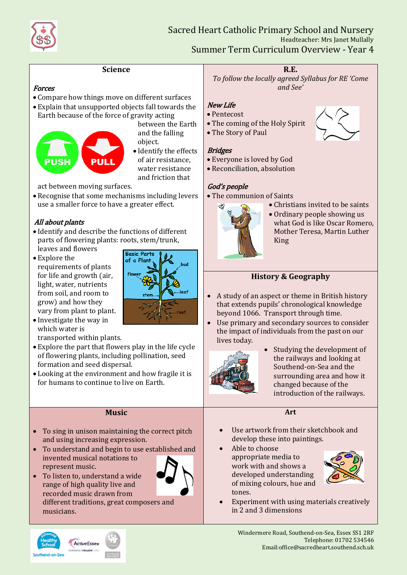

#### **Science**

#### Forces

- Compare how things move on different surfaces
- Explain that unsupported objects fall towards the Earth because of the force of gravity acting



between the Earth and the falling object.

• Identify the effects of air resistance, water resistance and friction that

act between moving surfaces.

 Recognise that some mechanisms including levers use a smaller force to have a greater effect.

#### All about plants

- Identify and describe the functions of different parts of flowering plants: roots, stem/trunk, leaves and flowers
- Explore the requirements of plants for life and growth (air, light, water, nutrients from soil, and room to grow) and how they vary from plant to plant.



 Investigate the way in which water is

transported within plants.

- Explore the part that flowers play in the life cycle of flowering plants, including pollination, seed formation and seed dispersal.
- Looking at the environment and how fragile it is for humans to continue to live on Earth.

#### **Music**

- To sing in unison maintaining the correct pitch and using increasing expression.
- To understand and begin to use established and invented musical notations to represent music.
- To listen to, understand a wide range of high quality live and recorded music drawn from different traditions, great composers and musicians.



# **R.E.**

*To follow the locally agreed Syllabus for RE 'Come and See'*

## New Life

- Pentecost
- The coming of the Holy Spirit
- The Story of Paul

# **Bridges**

- Everyone is loved by God
- Reconciliation, absolution

# God's people

• The communion of Saints



• Christians invited to be saints • Ordinary people showing us what God is like Oscar Romero, Mother Teresa, Martin Luther King

# **History & Geography**

- A study of an aspect or theme in British history that extends pupils' chronological knowledge beyond 1066. Transport through time.
- Use primary and secondary sources to consider the impact of individuals from the past on our lives today.



• Studying the development of the railways and looking at Southend-on-Sea and the surrounding area and how it changed because of the introduction of the railways.

## **Art**

- Use artwork from their sketchbook and develop these into paintings.
- Able to choose appropriate media to work with and shows a developed understanding of mixing colours, hue and tones.



 Experiment with using materials creatively in 2 and 3 dimensions



Southend-on-Sea